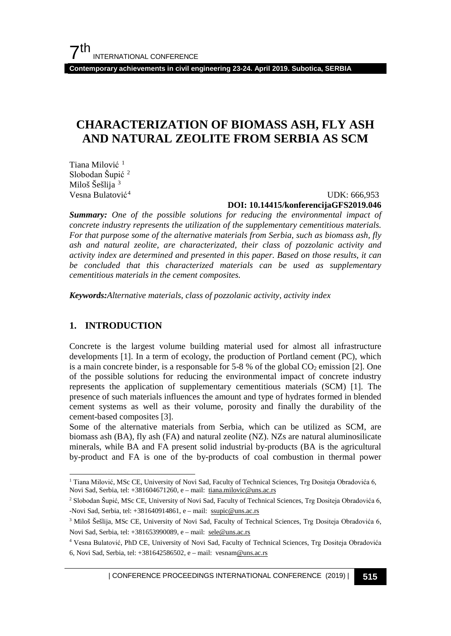# **CHARACTERIZATION OF BIOMASS ASH, FLY ASH AND NATURAL ZEOLITE FROM SERBIA AS SCM**

Tiana Milović<sup>[1](#page-0-0)</sup> Slobodan Šupić<sup>[2](#page-0-1)</sup> Miloš Šešlija <sup>[3](#page-0-2)</sup> Vesna Bulatović<sup>[4](#page-0-3)</sup>

UDK: 666,953

#### **DOI: 10.14415/konferencijaGFS2019.046**

*Summary: One of the possible solutions for reducing the environmental impact of concrete industry represents the utilization of the supplementary cementitious materials. For that purpose some of the alternative materials from Serbia, such as biomass ash, fly ash and natural zeolite, are characterizated, their class of pozzolanic activity and activity index are determined and presented in this paper. Based on those results, it can be concluded that this characterized materials can be used as supplementary cementitious materials in the cement composites.*

*Keywords:Alternative materials, class of pozzolanic activity, activity index*

## **1. INTRODUCTION**

Concrete is the largest volume building material used for almost all infrastructure developments [1]. In a term of ecology, the production of Portland cement (PC), which is a main concrete binder, is a responsable for  $5-8$  % of the global  $CO<sub>2</sub>$  emission [2]. One of the possible solutions for reducing the environmental impact of concrete industry represents the application of supplementary cementitious materials (SCM) [1]. The presence of such materials influences the amount and type of hydrates formed in blended cement systems as well as their volume, porosity and finally the durability of the cement-based composites [3].

Some of the alternative materials from Serbia, which can be utilized as SCM, are biomass ash (BA), fly ash (FA) and natural zeolite (NZ). NZs are natural aluminosilicate minerals, while BA and FA present solid industrial by-products (BA is the agricultural by-product and FA is one of the by-products of coal combustion in thermal power

| CONFERENCE PROCEEDINGS INTERNATIONAL CONFERENCE (2019) <sup>|</sup>**515**

<span id="page-0-0"></span><sup>&</sup>lt;sup>1</sup> Tiana Milović, MSc CE, University of Novi Sad, Faculty of Technical Sciences, Trg Dositeja Obradovića 6, Novi Sad, Serbia, tel: +381604671260, e – mail: [tiana.milovic@uns.ac.rs](mailto:tiana.milovic@uns.ac.rs)

<span id="page-0-1"></span><sup>2</sup> Slobodan Šupić, MSc CE, University of Novi Sad, Faculty of Technical Sciences, Trg Dositeja Obradovića 6, -Novi Sad, Serbia, tel: +381640914861, e – mail: [ssupic@uns.ac.rs](mailto:ssupic@uns.ac.rs) 

<span id="page-0-2"></span><sup>3</sup> Miloš Šešlija, MSc CE, University of Novi Sad, Faculty of Technical Sciences, Trg Dositeja Obradovića 6, Novi Sad, Serbia, tel: +381653990089, e – mail: [sele@uns.ac.rs](mailto:sele@uns.ac.rs) 

<span id="page-0-3"></span><sup>4</sup> Vesna Bulatović, PhD CE, University of Novi Sad, Faculty of Technical Sciences, Trg Dositeja Obradovića 6, Novi Sad, Serbia, tel: +381642586502, e – mail: vesna[m@uns.ac.rs](mailto:milan.marinkovic@uns.ac.rs)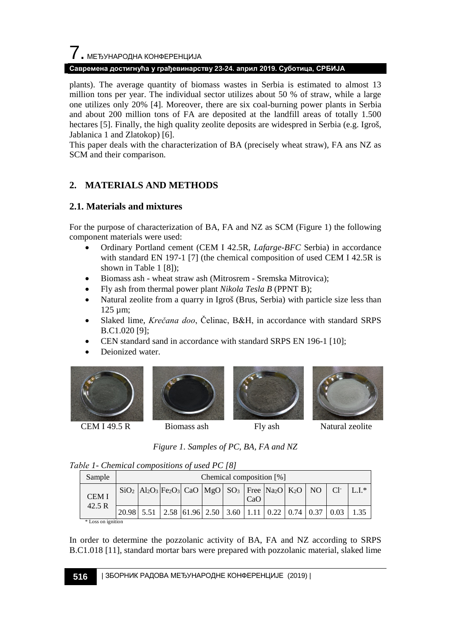# 7. МЕЂУНАРОДНА КОНФЕРЕНЦИЈА

## **Савремена достигнућа у грађевинарству 23-24. април 2019. Суботица, СРБИЈА**

plants). The average quantity of biomass wastes in Serbia is estimated to almost 13 million tons per year. The individual sector utilizes about 50 % of straw, while a large one utilizes only 20% [4]. Moreover, there are six coal-burning power plants in Serbia and about 200 million tons of FA are deposited at the landfill areas of totally 1.500 hectares [5]. Finally, the high quality zeolite deposits are widespred in Serbia (e.g. Igroš, Jablanica 1 and Zlatokop) [6].

This paper deals with the characterization of BA (precisely wheat straw), FA ans NZ as SCM and their comparison.

# **2. MATERIALS AND METHODS**

## **2.1. Materials and mixtures**

For the purpose of characterization of BA, FA and NZ as SCM (Figure 1) the following component materials were used:

- Ordinary Portland cement (CEM I 42.5R, *Lafarge-BFC* Serbia) in accordance with standard EN 197-1 [7] (the chemical composition of used CEM I 42.5R is shown in Table 1 [8]);
- Biomass ash wheat straw ash (Mitrosrem Sremska Mitrovica);
- Fly ash from thermal power plant *Nikola Tesla B* (PPNT B);
- Natural zeolite from a quarry in Igroš (Brus, Serbia) with particle size less than 125 µm;
- Slaked lime, *Krečana doo*, Čelinac, B&H, in accordance with standard SRPS B.C1.020 [9];
- CEN standard sand in accordance with standard SRPS EN 196-1 [10];
- Deionized water.





CEM I 49.5 R Biomass ash Fly ash Natural zeolite



*Figure 1. Samples of PC, BA, FA and NZ*

| Table 1- Chemical compositions of used PC [8] |  |  |  |
|-----------------------------------------------|--|--|--|
|                                               |  |  |  |

| Sample      | Chemical composition [%]                                                                                                                                                                                                                                                                                                                                                       |  |  |  |  |     |  |  |  |  |         |
|-------------|--------------------------------------------------------------------------------------------------------------------------------------------------------------------------------------------------------------------------------------------------------------------------------------------------------------------------------------------------------------------------------|--|--|--|--|-----|--|--|--|--|---------|
| <b>CEMI</b> | $\left[\frac{1}{2}S_1S_2\right]$ $\left[\frac{1}{2}S_3\right]$ $\left[\frac{1}{2}S_3\right]$ $\left[\frac{1}{2}S_3\right]$ $\left[\frac{1}{2}S_3\right]$ $\left[\frac{1}{2}S_3\right]$ $\left[\frac{1}{2}S_3\right]$ $\left[\frac{1}{2}S_3\right]$ $\left[\frac{1}{2}S_3\right]$ $\left[\frac{1}{2}S_3\right]$ $\left[\frac{1}{2}S_3\right]$ $\left[\frac{1}{2}S_3\right]$ $\$ |  |  |  |  | CaO |  |  |  |  | $LLI^*$ |
| 42.5 R      | $\vert 20.98 \vert 5.51 \vert 2.58 \vert 61.96 \vert 2.50 \vert 3.60 \vert 1.11 \vert 0.22 \vert 0.74 \vert 0.37 \vert 0.03$                                                                                                                                                                                                                                                   |  |  |  |  |     |  |  |  |  | 1.35    |

\* Loss on ignition

In order to determine the pozzolanic activity of BA, FA and NZ according to SRPS B.C1.018 [11], standard mortar bars were prepared with pozzolanic material, slaked lime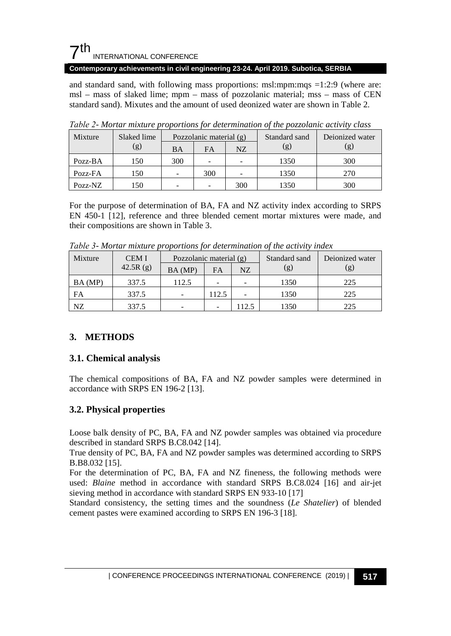

and standard sand, with following mass proportions: msl:mpm:mqs =1:2:9 (where are: msl – mass of slaked lime; mpm – mass of pozzolanic material; mss – mass of CEN standard sand). Mixutes and the amount of used deonized water are shown in Table 2.

| Mixture | Slaked lime | Pozzolanic material $(g)$ |     | Standard sand            | Deionized water |     |  |
|---------|-------------|---------------------------|-----|--------------------------|-----------------|-----|--|
|         | (g)         | BA                        | FA  | NZ                       | (g)             | (g) |  |
| Pozz-BA | 150         | 300                       |     | $\overline{\phantom{0}}$ | 1350            | 300 |  |
| Pozz-FA | 150         |                           | 300 |                          | 1350            | 270 |  |
| Pozz-NZ | 150         |                           |     | 300                      | 1350            | 300 |  |

*Таble 2- Mortar mixture proportions for determination of the pozzolanic activity class*

For the purpose of determination of BA, FA and NZ activity index according to SRPS EN 450-1 [12], reference and three blended cement mortar mixtures were made, and their compositions are shown in Table 3.

| Mixture | <b>CEMI</b> | Pozzolanic material (g) |       |      | Standard sand | Deionized water |  |  |  |  |
|---------|-------------|-------------------------|-------|------|---------------|-----------------|--|--|--|--|
|         | 42.5R $(g)$ | BA (MP)                 | FA    | NZ   | (g)           | (g)             |  |  |  |  |
| BA (MP) | 337.5       | 112.5                   |       |      | 1350          | 225             |  |  |  |  |
| FA      | 337.5       |                         | 112.5 |      | 1350          | 225             |  |  |  |  |
| NZ      | 337.5       |                         |       | 12.5 | 1350          | 225             |  |  |  |  |

*Таble 3- Mortar mixture proportions for determination of the activity index*

# **3. METHODS**

## **3.1. Chemical analysis**

The chemical compositions of BA, FA and NZ powder samples were determined in accordance with SRPS EN 196-2 [13].

# **3.2. Physical properties**

Loose balk density of PC, BA, FA and NZ powder samples was obtained via procedure described in standard SRPS B.C8.042 [14].

True density of PC, BA, FA and NZ powder samples was determined according to SRPS B.B8.032 [15].

For the determination of PC, BA, FA and NZ fineness, the following methods were used: *Blaine* method in accordance with standard SRPS B.C8.024 [16] and air-jet sieving method in accordance with standard SRPS EN 933-10 [17]

Standard consistency, the setting times and the soundness (*Le Shatelier*) of blended cement pastes were examined according to SRPS EN 196-3 [18].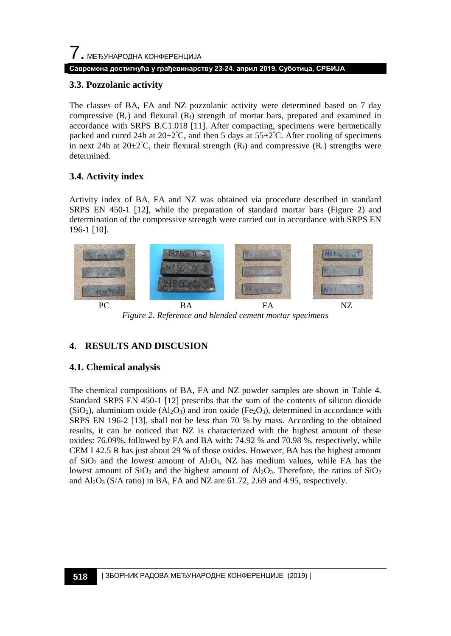## **Савремена достигнућа у грађевинарству 23-24. април 2019. Суботица, СРБИЈА**

## **3.3. Pozzolanic activity**

The classes of BA, FA and NZ pozzolanic activity were determined based on 7 day compressive  $(R_c)$  and flexural  $(R_f)$  strength of mortar bars, prepared and examined in accordance with SRPS B.C1.018 [11]. After compacting, specimens were hermetically packed and cured 24h at  $20\pm2^{\circ}$ C, and then 5 days at  $55\pm2^{\circ}$ C. After cooling of specimens in next 24h at  $20\pm2^{\circ}C$ , their flexural strength  $(R_f)$  and compressive  $(R_c)$  strengths were determined.

# **3.4. Activity index**

Activity index of BA, FA and NZ was obtained via procedure described in standard SRPS EN 450-1 [12], while the preparation of standard mortar bars (Figure 2) and determination of the compressive strength were carried out in accordance with SRPS EN 196-1 [10].



*Figure 2. Reference and blended cement mortar specimens*

# **4. RESULTS AND DISCUSION**

# **4.1. Chemical analysis**

The chemical compositions of BA, FA and NZ powder samples are shown in Table 4. Standard SRPS EN 450-1 [12] prescribs that the sum of the contents of silicon dioxide  $(SiO<sub>2</sub>)$ , aluminium oxide  $(A<sub>2</sub>O<sub>3</sub>)$  and iron oxide  $(F<sub>2</sub>O<sub>3</sub>)$ , determined in accordance with SRPS EN 196-2 [13], shall not be less than 70 % by mass. According to the obtained results, it can be noticed that NZ is characterized with the highest amount of these oxides: 76.09%, followed by FA and BA with: 74.92 % and 70.98 %, respectively, while CEM I 42.5 R has just about 29 % of those oxides. However, BA has the highest amount of  $SiO<sub>2</sub>$  and the lowest amount of  $Al<sub>2</sub>O<sub>3</sub>$ , NZ has medium values, while FA has the lowest amount of  $SiO<sub>2</sub>$  and the highest amount of  $Al<sub>2</sub>O<sub>3</sub>$ . Therefore, the ratios of  $SiO<sub>2</sub>$ and  $Al_2O_3$  (S/A ratio) in BA, FA and NZ are 61.72, 2.69 and 4.95, respectively.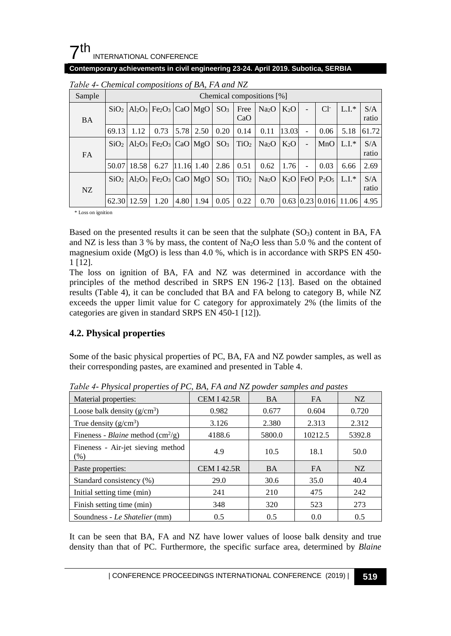

| Sample    |                  | Chemical compositions [%] |                                                  |      |            |                 |                  |                   |        |            |                                  |         |              |
|-----------|------------------|---------------------------|--------------------------------------------------|------|------------|-----------------|------------------|-------------------|--------|------------|----------------------------------|---------|--------------|
| BA        | SiO <sub>2</sub> |                           | $Al_2O_3$ Fe <sub>2</sub> O <sub>3</sub> CaO MgO |      |            | SO <sub>3</sub> | Free<br>CaO      | Na <sub>2</sub> O | $K_2O$ |            | $Cl^-$                           | $L.I.*$ | S/A<br>ratio |
|           | 69.13            | 1.12                      | 0.73                                             | 5.78 | 2.50       | 0.20            | 0.14             | 0.11              | 13.03  |            | 0.06                             | 5.18    | 61.72        |
| <b>FA</b> | SiO <sub>2</sub> |                           | $Al_2O_3$ Fe <sub>2</sub> O <sub>3</sub> CaO MgO |      |            | SO <sub>3</sub> | TiO <sub>2</sub> | Na <sub>2</sub> O | $K_2O$ |            | MnO                              | $L.I.*$ | S/A<br>ratio |
|           | 50.07            | 18.58                     | 6.27                                             |      | 11.16 1.40 | 2.86            | 0.51             | 0.62              | 1.76   |            | 0.03                             | 6.66    | 2.69         |
| NZ.       | SiO <sub>2</sub> |                           | $Al_2O_3$ Fe <sub>2</sub> O <sub>3</sub> CaO MgO |      |            | SO <sub>3</sub> | TiO <sub>2</sub> | Na <sub>2</sub> O |        | $K_2O$ FeO | $P_2O_5$                         | $L.I.*$ | S/A<br>ratio |
|           |                  | 62.30 12.59               | 1.20                                             | 4.80 | 1.94       | 0.05            | 0.22             | 0.70              |        |            | $0.63 \mid 0.23 \mid 0.016 \mid$ | 11.06   | 4.95         |

*Таble 4- Chemical compositions of BA, FA and NZ*

\* Loss on ignition

Based on the presented results it can be seen that the sulphate  $(SO<sub>3</sub>)$  content in BA, FA and NZ is less than 3 % by mass, the content of Na<sub>2</sub>O less than 5.0 % and the content of magnesium oxide (MgO) is less than 4.0 %, which is in accordance with SRPS EN 450- 1 [12].

The loss on ignition of BA, FA and NZ was determined in accordance with the principles of the method described in SRPS EN 196-2 [13]. Based on the obtained results (Table 4), it can be concluded that BA and FA belong to category B, while NZ exceeds the upper limit value for C category for approximately 2% (the limits of the categories are given in standard SRPS EN 450-1 [12]).

# **4.2. Physical properties**

Some of the basic physical properties of PC, BA, FA and NZ powder samples, as well as their corresponding pastes, are examined and presented in Table 4.

| Material properties:                                     | <b>CEM I 42.5R</b> | <b>BA</b> | <b>FA</b> | NZ     |
|----------------------------------------------------------|--------------------|-----------|-----------|--------|
| Loose balk density $(g/cm^3)$                            | 0.982              | 0.677     | 0.604     | 0.720  |
| True density $(g/cm^3)$                                  | 3.126              | 2.380     | 2.313     | 2.312  |
| Fineness - <i>Blaine</i> method $\text{(cm}^2\text{/g)}$ | 4188.6             | 5800.0    | 10212.5   | 5392.8 |
| Fineness - Air-jet sieving method<br>(% )                | 4.9                | 10.5      | 18.1      | 50.0   |
| Paste properties:                                        | <b>CEM I 42.5R</b> | <b>BA</b> | <b>FA</b> | NZ     |
| Standard consistency (%)                                 | 29.0               | 30.6      | 35.0      | 40.4   |
| Initial setting time (min)                               | 241                | 210       | 475       | 242    |
| Finish setting time (min)                                | 348                | 320       | 523       | 273    |
| Soundness - Le Shatelier (mm)                            | 0.5                | 0.5       | 0.0       | 0.5    |

*Таble 4- Physical properties of PC, BA, FA and NZ powder samples and pastes*

It can be seen that BA, FA and NZ have lower values of loose balk density and true density than that of PC. Furthermore, the specific surface area, determined by *Blaine*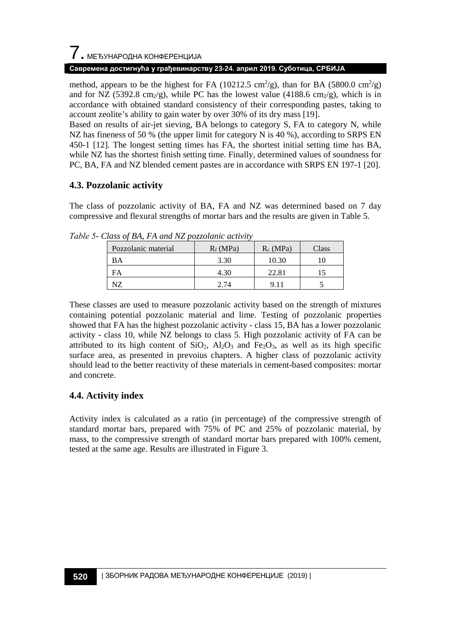#### **Савремена достигнућа у грађевинарству 23-24. април 2019. Суботица, СРБИЈА**

method, appears to be the highest for FA (10212.5 cm<sup>2</sup>/g), than for BA (5800.0 cm<sup>2</sup>/g) and for NZ (5392.8 cm<sub>2</sub>/g), while PC has the lowest value (4188.6 cm<sub>2</sub>/g), which is in accordance with obtained standard consistency of their corresponding pastes, taking to account zeolite's ability to gain water by over 30% of its dry mass [19].

Based on results of air-jet sieving, BA belongs to category S, FA to category N, while NZ has fineness of 50 % (the upper limit for category N is 40 %), according to SRPS EN 450-1 [12]. The longest setting times has FA, the shortest initial setting time has BA, while NZ has the shortest finish setting time. Finally, determined values of soundness for PC, BA, FA and NZ blended cement pastes are in accordance with SRPS EN 197-1 [20].

## **4.3. Pozzolanic activity**

The class of pozzolanic activity of BA, FA and NZ was determined based on 7 day compressive and flexural strengths of mortar bars and the results are given in Table 5.

| Pozzolanic material | $R_f(MPa)$ | $R_c(MPa)$ | Class |
|---------------------|------------|------------|-------|
| <b>BA</b>           | 3.30       | 10.30      |       |
| FΑ                  | 4.30       | 22.81      |       |
|                     | 2.74       |            |       |

*Таble 5- Class of BA, FA and NZ pozzolanic activity*

These classes are used to measure pozzolanic activity based on the strength of mixtures containing potential pozzolanic material and lime. Testing of pozzolanic properties showed that FA has the highest pozzolanic activity - class 15, BA has a lower pozzolanic activity - class 10, while NZ belongs to class 5. High pozzolanic activity of FA can be attributed to its high content of  $SiO_2$ ,  $Al_2O_3$  and  $Fe_2O_3$ , as well as its high specific surface area, as presented in prevoius chapters. A higher class of pozzolanic activity should lead to the better reactivity of these materials in cement-based composites: mortar and concrete.

# **4.4. Activity index**

Activity index is calculated as a ratio (in percentage) of the compressive strength of standard mortar bars, prepared with 75% of PC and 25% of pozzolanic material, by mass, to the compressive strength of standard mortar bars prepared with 100% cement, tested at the same age. Results are illustrated in Figure 3.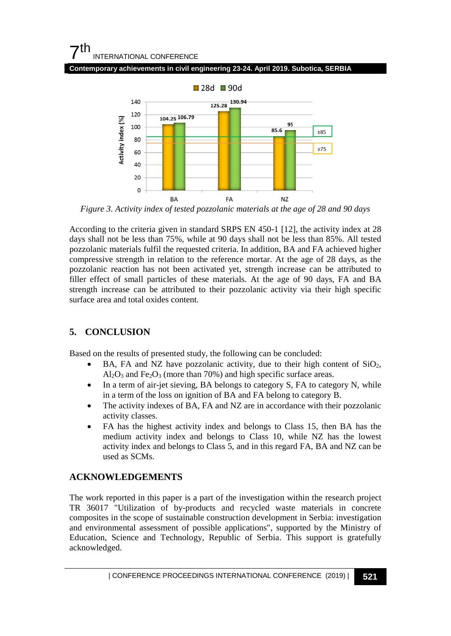# $7<sup>th</sup>$ INTERNATIONAL CONFERENCE





*Figure 3. Activity index of tested pozzolanic materials at the age of 28 and 90 days*

According to the criteria given in standard SRPS EN 450-1 [12], the activity index at 28 days shall not be less than 75%, while at 90 days shall not be less than 85%. All tested pozzolanic materials fulfil the requested criteria. In addition, BA and FA achieved higher compressive strength in relation to the reference mortar. At the age of 28 days, as the pozzolanic reaction has not been activated yet, strength increase can be attributed to filler effect of small particles of these materials. At the age of 90 days, FA and BA strength increase can be attributed to their pozzolanic activity via their high specific surface area and total oxides content.

# **5. CONCLUSION**

Based on the results of presented study, the following can be concluded:

- BA, FA and NZ have pozzolanic activity, due to their high content of  $SiO<sub>2</sub>$ ,  $Al_2O_3$  and Fe<sub>2</sub>O<sub>3</sub> (more than 70%) and high specific surface areas.
- In a term of air-jet sieving, BA belongs to category S, FA to category N, while in a term of the loss on ignition of BA and FA belong to category B.
- The activity indexes of BA, FA and NZ are in accordance with their pozzolanic activity classes.
- FA has the highest activity index and belongs to Class 15, then BA has the medium activity index and belongs to Class 10, while NZ has the lowest activity index and belongs to Class 5, and in this regard FA, BA and NZ can be used as SCMs.

# **ACKNOWLEDGEMENTS**

The work reported in this paper is a part of the investigation within the research project TR 36017 "Utilization of by-products and recycled waste materials in concrete composites in the scope of sustainable construction development in Serbia: investigation and environmental assessment of possible applications", supported by the Ministry of Education, Science and Technology, Republic of Serbia. This support is gratefully acknowledged.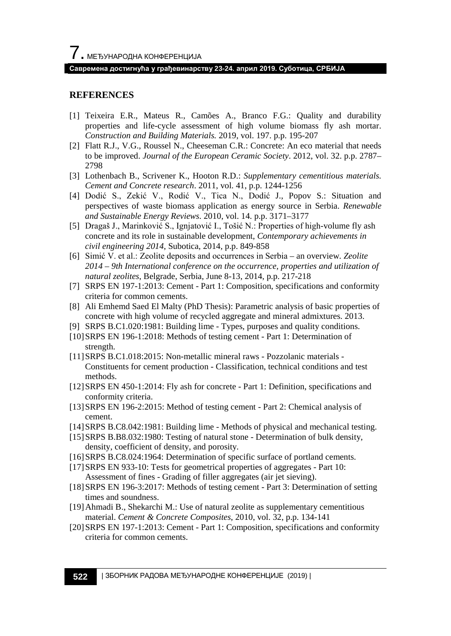## **Савремена достигнућа у грађевинарству 23-24. април 2019. Суботица, СРБИЈА**

## **REFERENCES**

- [1] Teixeira E.R., Mateus R., Camões A., Branco F.G.: Quality and durability properties and life-cycle assessment of high volume biomass fly ash mortar. *Construction and Building Materials.* 2019, vol. 197. p.p. 195-207
- [2] Flatt R.J., V.G., Roussel N., Cheeseman C.R.: Concrete: An eco material that needs to be improved. *Journal of the European Ceramic Society*. 2012, vol. 32. p.p. 2787– 2798
- [3] Lothenbach B., Scrivener K., Hooton R.D.: *Supplementary cementitious materials. Cement and Concrete research*. 2011, vol. 41, p.p. 1244-1256
- [4] Dodić S., Zekić V., Rodić V., Tica N., Dodić J., Popov S.: Situation and perspectives of waste biomass application as energy source in Serbia. *Renewable and Sustainable Energy Reviews*. 2010, vol. 14. p.p. 3171–3177
- [5] Dragaš J., Marinković S., Ignjatović I., Tošić N.: Properties of high-volume fly ash concrete and its role in sustainable development, *Contemporary achievements in civil engineering 2014*, Subotica, 2014, p.p. 849-858
- [6] Simić V. et al.: Zeolite deposits and occurrences in Serbia an overview. *Zeolite 2014 – 9th International conference on the occurrence, properties and utilization of natural zeolites*, Belgrade, Serbia, June 8-13, 2014, p.p. 217-218
- [7] SRPS EN 197-1:2013: Cement Part 1: Composition, specifications and conformity criteria for common cements.
- [8] Ali Emhemd Saed El Malty (PhD Thesis): Parametric analysis of basic properties of concrete with high volume of recycled aggregate and mineral admixtures. 2013.
- [9] SRPS B.C1.020:1981: Building lime Types, purposes and quality conditions.
- [10]SRPS EN 196-1:2018: Methods of testing cement Part 1: Determination of strength.
- [11]SRPS B.C1.018:2015: Non-metallic mineral raws Pozzolanic materials Constituents for cement production - Classification, technical conditions and test methods.
- [12]SRPS EN 450-1:2014: Fly ash for concrete Part 1: Definition, specifications and conformity criteria.
- [13]SRPS EN 196-2:2015: Method of testing cement Part 2: Chemical analysis of cement.
- [14]SRPS B.C8.042:1981: Building lime Methods of physical and mechanical testing.
- [15] SRPS B.B8.032:1980: Testing of natural stone Determination of bulk density, density, coefficient of density, and porosity.
- [16]SRPS B.C8.024:1964: Determination of specific surface of portland cements.
- [17]SRPS EN 933-10: Tests for geometrical properties of aggregates Part 10: Assessment of fines - Grading of filler aggregates (air jet sieving).
- [18]SRPS EN 196-3:2017: Methods of testing cement Part 3: Determination of setting times and soundness.
- [19]Ahmadi B., Shekarchi M.: Use of natural zeolite as supplementary cementitious material. *Cement & Concrete Composites*, 2010, vol. 32, p.p. 134-141
- [20]SRPS EN 197-1:2013: Cement Part 1: Composition, specifications and conformity criteria for common cements.